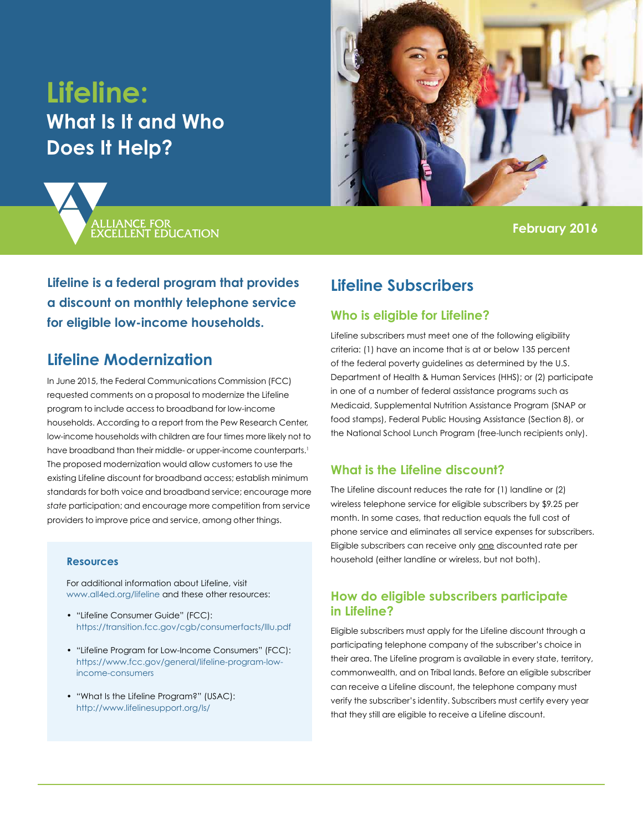# **Lifeline: What Is It and Who Does It Help?**





**February 2016**

**Lifeline is a federal program that provides a discount on monthly telephone service for eligible low-income households.**

## **Lifeline Modernization**

In June 2015, the Federal Communications Commission (FCC) requested comments on a proposal to modernize the Lifeline program to include access to broadband for low-income households. According to a report from the Pew Research Center, low-income households with children are four times more likely not to have broadband than their middle- or upper-income counterparts.<sup>1</sup> The proposed modernization would allow customers to use the existing Lifeline discount for broadband access; establish minimum standards for both voice and broadband service; encourage more *state* participation; and encourage more competition from service providers to improve price and service, among other things.

#### **Resources**

For additional information about Lifeline, visit [www.all4ed.org/lifeline](http://www.all4ed.org/lifeline) and these other resources:

- "Lifeline Consumer Guide" (FCC): <https://transition.fcc.gov/cgb/consumerfacts/lllu.pdf>
- "Lifeline Program for Low-Income Consumers" (FCC): [https://www.fcc.gov/general/lifeline-program-low](https://www.fcc.gov/general/lifeline-program-low-income-consumers)[income-consumers](https://www.fcc.gov/general/lifeline-program-low-income-consumers)
- "What Is the Lifeline Program?" (USAC): <http://www.lifelinesupport.org/ls/>

## **Lifeline Subscribers**

## **Who is eligible for Lifeline?**

Lifeline subscribers must meet one of the following eligibility criteria: (1) have an income that is at or below 135 percent of the federal poverty guidelines as determined by the U.S. Department of Health & Human Services (HHS); or (2) participate in one of a number of federal assistance programs such as Medicaid, Supplemental Nutrition Assistance Program (SNAP or food stamps), Federal Public Housing Assistance (Section 8), or the National School Lunch Program (free-lunch recipients only).

## **What is the Lifeline discount?**

The Lifeline discount reduces the rate for (1) landline or (2) wireless telephone service for eligible subscribers by \$9.25 per month. In some cases, that reduction equals the full cost of phone service and eliminates all service expenses for subscribers. Eligible subscribers can receive only one discounted rate per household (either landline or wireless, but not both).

#### **How do eligible subscribers participate in Lifeline?**

Eligible subscribers must apply for the Lifeline discount through a participating telephone company of the subscriber's choice in their area. The Lifeline program is available in every state, territory, commonwealth, and on Tribal lands. Before an eligible subscriber can receive a Lifeline discount, the telephone company must verify the subscriber's identity. Subscribers must certify every year that they still are eligible to receive a Lifeline discount.